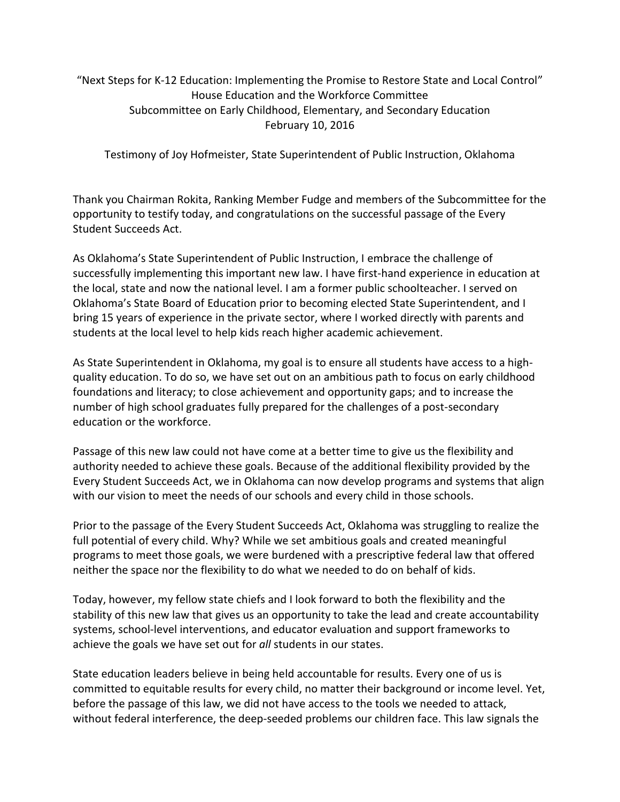## "Next Steps for K-12 Education: Implementing the Promise to Restore State and Local Control" House Education and the Workforce Committee Subcommittee on Early Childhood, Elementary, and Secondary Education February 10, 2016

Testimony of Joy Hofmeister, State Superintendent of Public Instruction, Oklahoma

Thank you Chairman Rokita, Ranking Member Fudge and members of the Subcommittee for the opportunity to testify today, and congratulations on the successful passage of the Every Student Succeeds Act.

As Oklahoma's State Superintendent of Public Instruction, I embrace the challenge of successfully implementing this important new law. I have first-hand experience in education at the local, state and now the national level. I am a former public schoolteacher. I served on Oklahoma's State Board of Education prior to becoming elected State Superintendent, and I bring 15 years of experience in the private sector, where I worked directly with parents and students at the local level to help kids reach higher academic achievement.

As State Superintendent in Oklahoma, my goal is to ensure all students have access to a highquality education. To do so, we have set out on an ambitious path to focus on early childhood foundations and literacy; to close achievement and opportunity gaps; and to increase the number of high school graduates fully prepared for the challenges of a post-secondary education or the workforce.

Passage of this new law could not have come at a better time to give us the flexibility and authority needed to achieve these goals. Because of the additional flexibility provided by the Every Student Succeeds Act, we in Oklahoma can now develop programs and systems that align with our vision to meet the needs of our schools and every child in those schools.

Prior to the passage of the Every Student Succeeds Act, Oklahoma was struggling to realize the full potential of every child. Why? While we set ambitious goals and created meaningful programs to meet those goals, we were burdened with a prescriptive federal law that offered neither the space nor the flexibility to do what we needed to do on behalf of kids.

Today, however, my fellow state chiefs and I look forward to both the flexibility and the stability of this new law that gives us an opportunity to take the lead and create accountability systems, school-level interventions, and educator evaluation and support frameworks to achieve the goals we have set out for *all* students in our states.

State education leaders believe in being held accountable for results. Every one of us is committed to equitable results for every child, no matter their background or income level. Yet, before the passage of this law, we did not have access to the tools we needed to attack, without federal interference, the deep-seeded problems our children face. This law signals the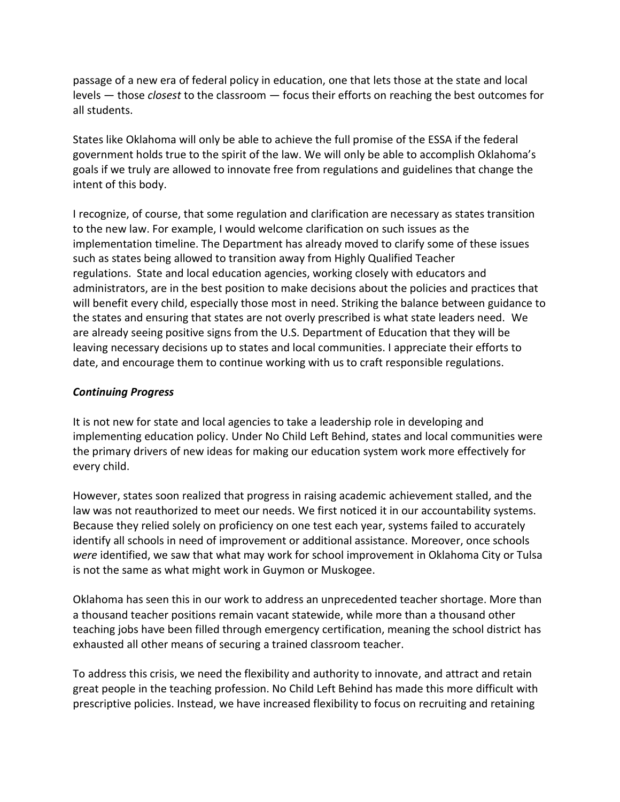passage of a new era of federal policy in education, one that lets those at the state and local levels — those *closest* to the classroom — focus their efforts on reaching the best outcomes for all students.

States like Oklahoma will only be able to achieve the full promise of the ESSA if the federal government holds true to the spirit of the law. We will only be able to accomplish Oklahoma's goals if we truly are allowed to innovate free from regulations and guidelines that change the intent of this body.

I recognize, of course, that some regulation and clarification are necessary as states transition to the new law. For example, I would welcome clarification on such issues as the implementation timeline. The Department has already moved to clarify some of these issues such as states being allowed to transition away from Highly Qualified Teacher regulations. State and local education agencies, working closely with educators and administrators, are in the best position to make decisions about the policies and practices that will benefit every child, especially those most in need. Striking the balance between guidance to the states and ensuring that states are not overly prescribed is what state leaders need. We are already seeing positive signs from the U.S. Department of Education that they will be leaving necessary decisions up to states and local communities. I appreciate their efforts to date, and encourage them to continue working with us to craft responsible regulations.

## *Continuing Progress*

It is not new for state and local agencies to take a leadership role in developing and implementing education policy. Under No Child Left Behind, states and local communities were the primary drivers of new ideas for making our education system work more effectively for every child.

However, states soon realized that progress in raising academic achievement stalled, and the law was not reauthorized to meet our needs. We first noticed it in our accountability systems. Because they relied solely on proficiency on one test each year, systems failed to accurately identify all schools in need of improvement or additional assistance. Moreover, once schools *were* identified, we saw that what may work for school improvement in Oklahoma City or Tulsa is not the same as what might work in Guymon or Muskogee.

Oklahoma has seen this in our work to address an unprecedented teacher shortage. More than a thousand teacher positions remain vacant statewide, while more than a thousand other teaching jobs have been filled through emergency certification, meaning the school district has exhausted all other means of securing a trained classroom teacher.

To address this crisis, we need the flexibility and authority to innovate, and attract and retain great people in the teaching profession. No Child Left Behind has made this more difficult with prescriptive policies. Instead, we have increased flexibility to focus on recruiting and retaining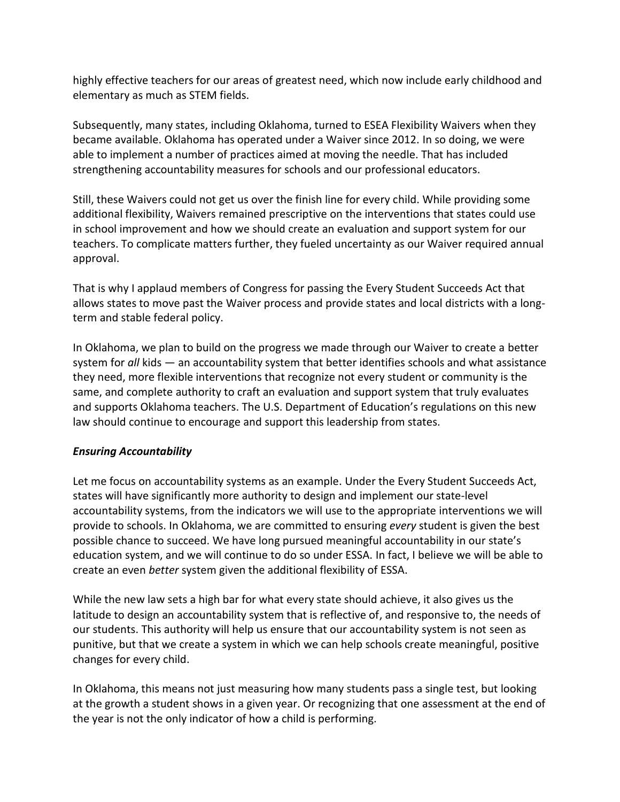highly effective teachers for our areas of greatest need, which now include early childhood and elementary as much as STEM fields.

Subsequently, many states, including Oklahoma, turned to ESEA Flexibility Waivers when they became available. Oklahoma has operated under a Waiver since 2012. In so doing, we were able to implement a number of practices aimed at moving the needle. That has included strengthening accountability measures for schools and our professional educators.

Still, these Waivers could not get us over the finish line for every child. While providing some additional flexibility, Waivers remained prescriptive on the interventions that states could use in school improvement and how we should create an evaluation and support system for our teachers. To complicate matters further, they fueled uncertainty as our Waiver required annual approval.

That is why I applaud members of Congress for passing the Every Student Succeeds Act that allows states to move past the Waiver process and provide states and local districts with a longterm and stable federal policy.

In Oklahoma, we plan to build on the progress we made through our Waiver to create a better system for *all* kids — an accountability system that better identifies schools and what assistance they need, more flexible interventions that recognize not every student or community is the same, and complete authority to craft an evaluation and support system that truly evaluates and supports Oklahoma teachers. The U.S. Department of Education's regulations on this new law should continue to encourage and support this leadership from states.

## *Ensuring Accountability*

Let me focus on accountability systems as an example. Under the Every Student Succeeds Act, states will have significantly more authority to design and implement our state-level accountability systems, from the indicators we will use to the appropriate interventions we will provide to schools. In Oklahoma, we are committed to ensuring *every* student is given the best possible chance to succeed. We have long pursued meaningful accountability in our state's education system, and we will continue to do so under ESSA. In fact, I believe we will be able to create an even *better* system given the additional flexibility of ESSA.

While the new law sets a high bar for what every state should achieve, it also gives us the latitude to design an accountability system that is reflective of, and responsive to, the needs of our students. This authority will help us ensure that our accountability system is not seen as punitive, but that we create a system in which we can help schools create meaningful, positive changes for every child.

In Oklahoma, this means not just measuring how many students pass a single test, but looking at the growth a student shows in a given year. Or recognizing that one assessment at the end of the year is not the only indicator of how a child is performing.